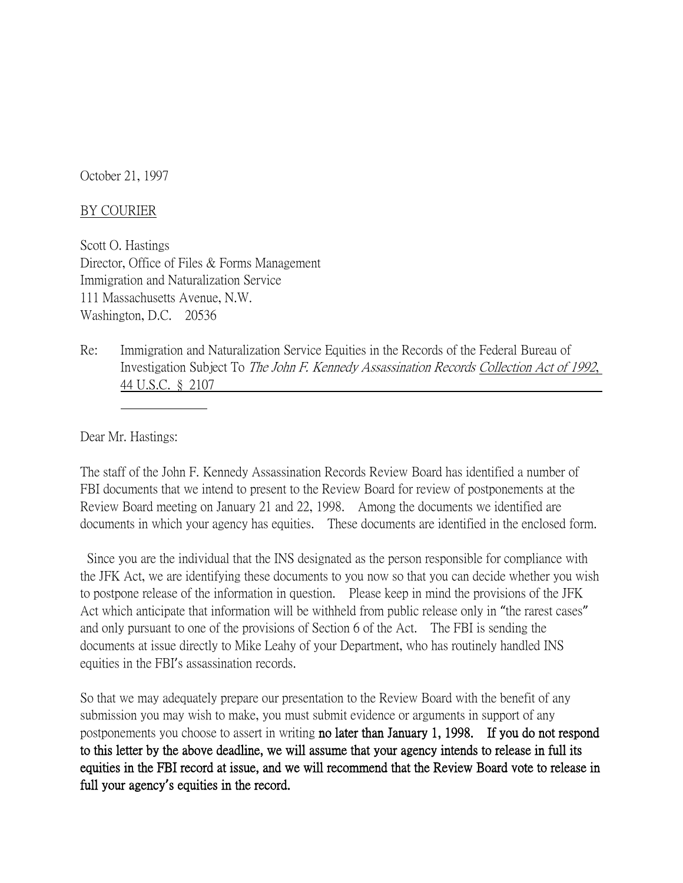October 21, 1997

## BY COURIER

Scott O. Hastings Director, Office of Files & Forms Management Immigration and Naturalization Service 111 Massachusetts Avenue, N.W. Washington, D.C. 20536

Re: Immigration and Naturalization Service Equities in the Records of the Federal Bureau of Investigation Subject To The John F. Kennedy Assassination Records Collection Act of 1992, 44 U.S.C. § 2107

Dear Mr. Hastings:

The staff of the John F. Kennedy Assassination Records Review Board has identified a number of FBI documents that we intend to present to the Review Board for review of postponements at the Review Board meeting on January 21 and 22, 1998. Among the documents we identified are documents in which your agency has equities. These documents are identified in the enclosed form.

Since you are the individual that the INS designated as the person responsible for compliance with the JFK Act, we are identifying these documents to you now so that you can decide whether you wish to postpone release of the information in question. Please keep in mind the provisions of the JFK Act which anticipate that information will be withheld from public release only in "the rarest cases" and only pursuant to one of the provisions of Section 6 of the Act. The FBI is sending the documents at issue directly to Mike Leahy of your Department, who has routinely handled INS equities in the FBI's assassination records.

So that we may adequately prepare our presentation to the Review Board with the benefit of any submission you may wish to make, you must submit evidence or arguments in support of any postponements you choose to assert in writing no later than January 1, 1998. If you do not respond to this letter by the above deadline, we will assume that your agency intends to release in full its equities in the FBI record at issue, and we will recommend that the Review Board vote to release in full your agency**'**s equities in the record.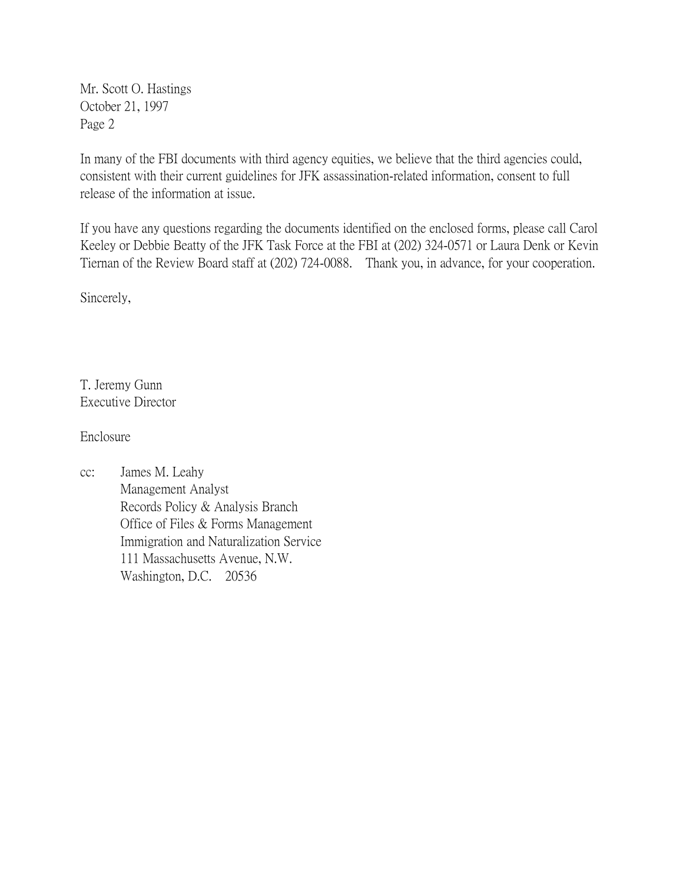Mr. Scott O. Hastings October 21, 1997 Page 2

In many of the FBI documents with third agency equities, we believe that the third agencies could, consistent with their current guidelines for JFK assassination-related information, consent to full release of the information at issue.

If you have any questions regarding the documents identified on the enclosed forms, please call Carol Keeley or Debbie Beatty of the JFK Task Force at the FBI at (202) 324-0571 or Laura Denk or Kevin Tiernan of the Review Board staff at (202) 724-0088. Thank you, in advance, for your cooperation.

Sincerely,

T. Jeremy Gunn Executive Director

Enclosure

cc: James M. Leahy Management Analyst Records Policy & Analysis Branch Office of Files & Forms Management Immigration and Naturalization Service 111 Massachusetts Avenue, N.W. Washington, D.C. 20536